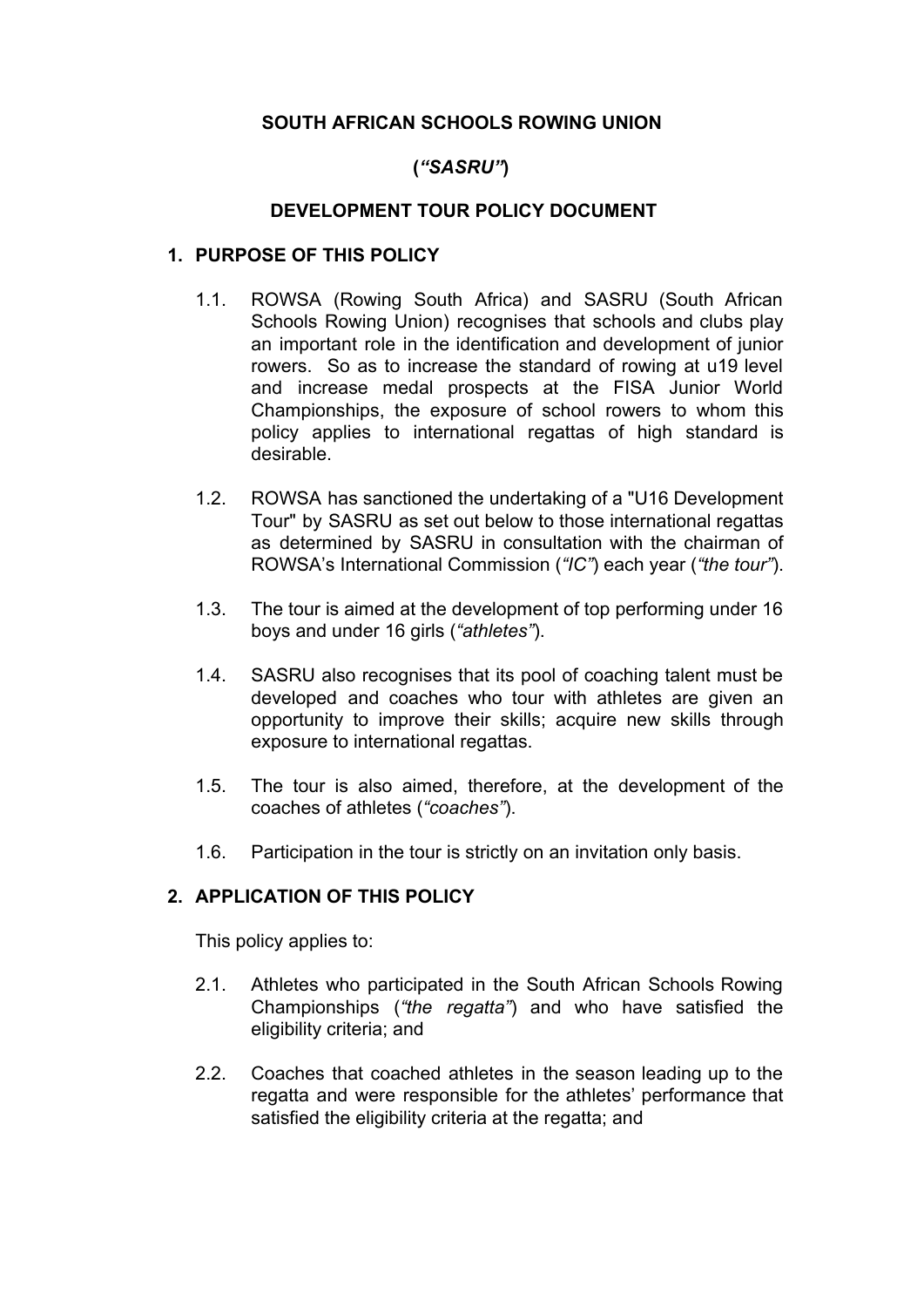### **SOUTH AFRICAN SCHOOLS ROWING UNION**

# **(***"SASRU"***)**

### **DEVELOPMENT TOUR POLICY DOCUMENT**

### **1. PURPOSE OF THIS POLICY**

- 1.1. ROWSA (Rowing South Africa) and SASRU (South African Schools Rowing Union) recognises that schools and clubs play an important role in the identification and development of junior rowers. So as to increase the standard of rowing at u19 level and increase medal prospects at the FISA Junior World Championships, the exposure of school rowers to whom this policy applies to international regattas of high standard is desirable.
- 1.2. ROWSA has sanctioned the undertaking of a "U16 Development Tour" by SASRU as set out below to those international regattas as determined by SASRU in consultation with the chairman of ROWSA's International Commission (*"IC"*) each year (*"the tour"*).
- 1.3. The tour is aimed at the development of top performing under 16 boys and under 16 girls (*"athletes"*).
- 1.4. SASRU also recognises that its pool of coaching talent must be developed and coaches who tour with athletes are given an opportunity to improve their skills; acquire new skills through exposure to international regattas.
- 1.5. The tour is also aimed, therefore, at the development of the coaches of athletes (*"coaches"*).
- 1.6. Participation in the tour is strictly on an invitation only basis.

### **2. APPLICATION OF THIS POLICY**

This policy applies to:

- 2.1. Athletes who participated in the South African Schools Rowing Championships (*"the regatta"*) and who have satisfied the eligibility criteria; and
- 2.2. Coaches that coached athletes in the season leading up to the regatta and were responsible for the athletes' performance that satisfied the eligibility criteria at the regatta; and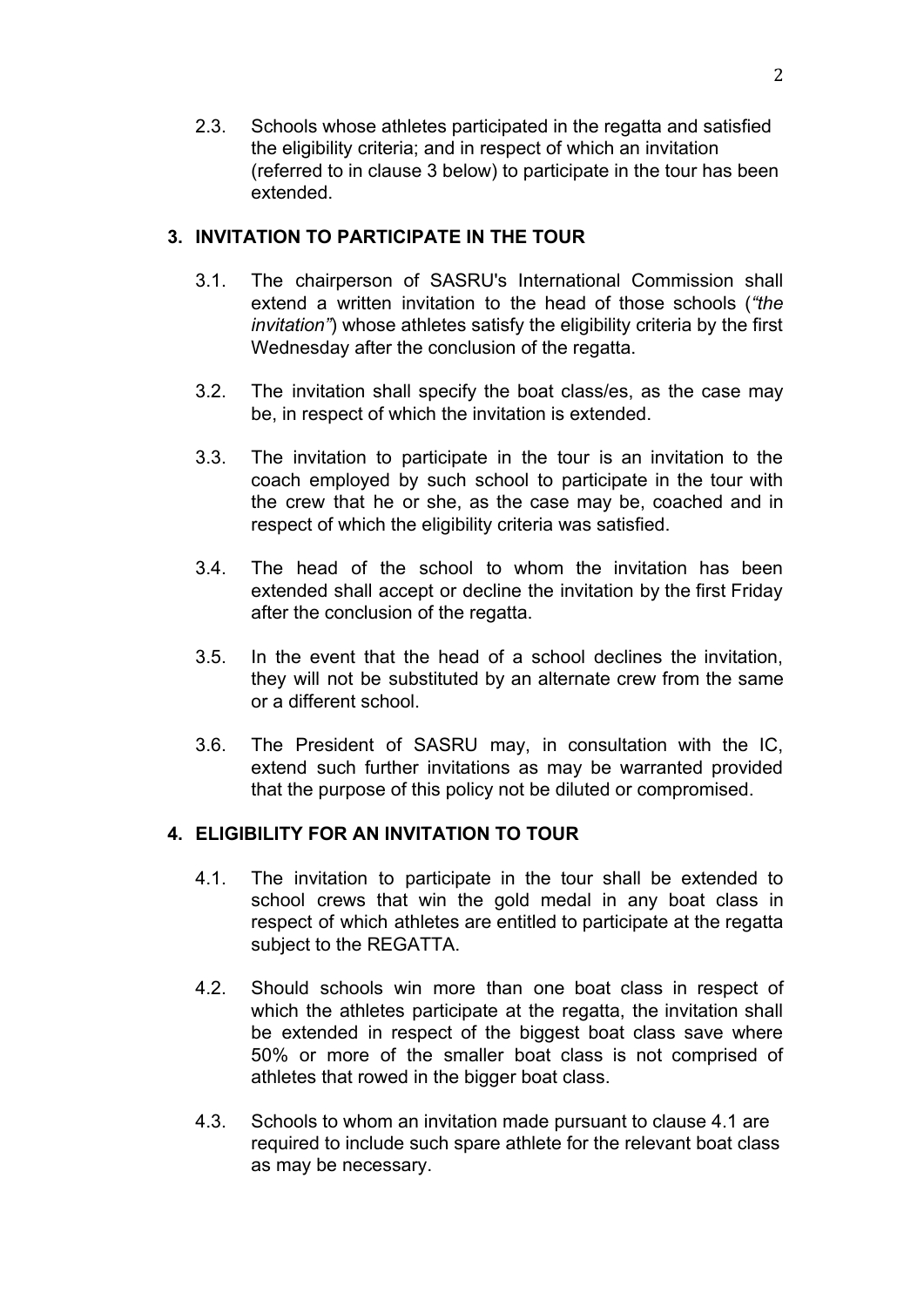2.3. Schools whose athletes participated in the regatta and satisfied the eligibility criteria; and in respect of which an invitation (referred to in clause 3 below) to participate in the tour has been extended.

### **3. INVITATION TO PARTICIPATE IN THE TOUR**

- 3.1. The chairperson of SASRU's International Commission shall extend a written invitation to the head of those schools (*"the invitation"*) whose athletes satisfy the eligibility criteria by the first Wednesday after the conclusion of the regatta.
- 3.2. The invitation shall specify the boat class/es, as the case may be, in respect of which the invitation is extended.
- 3.3. The invitation to participate in the tour is an invitation to the coach employed by such school to participate in the tour with the crew that he or she, as the case may be, coached and in respect of which the eligibility criteria was satisfied.
- 3.4. The head of the school to whom the invitation has been extended shall accept or decline the invitation by the first Friday after the conclusion of the regatta.
- 3.5. In the event that the head of a school declines the invitation, they will not be substituted by an alternate crew from the same or a different school.
- 3.6. The President of SASRU may, in consultation with the IC, extend such further invitations as may be warranted provided that the purpose of this policy not be diluted or compromised.

## **4. ELIGIBILITY FOR AN INVITATION TO TOUR**

- 4.1. The invitation to participate in the tour shall be extended to school crews that win the gold medal in any boat class in respect of which athletes are entitled to participate at the regatta subject to the REGATTA.
- 4.2. Should schools win more than one boat class in respect of which the athletes participate at the regatta, the invitation shall be extended in respect of the biggest boat class save where 50% or more of the smaller boat class is not comprised of athletes that rowed in the bigger boat class.
- 4.3. Schools to whom an invitation made pursuant to clause 4.1 are required to include such spare athlete for the relevant boat class as may be necessary.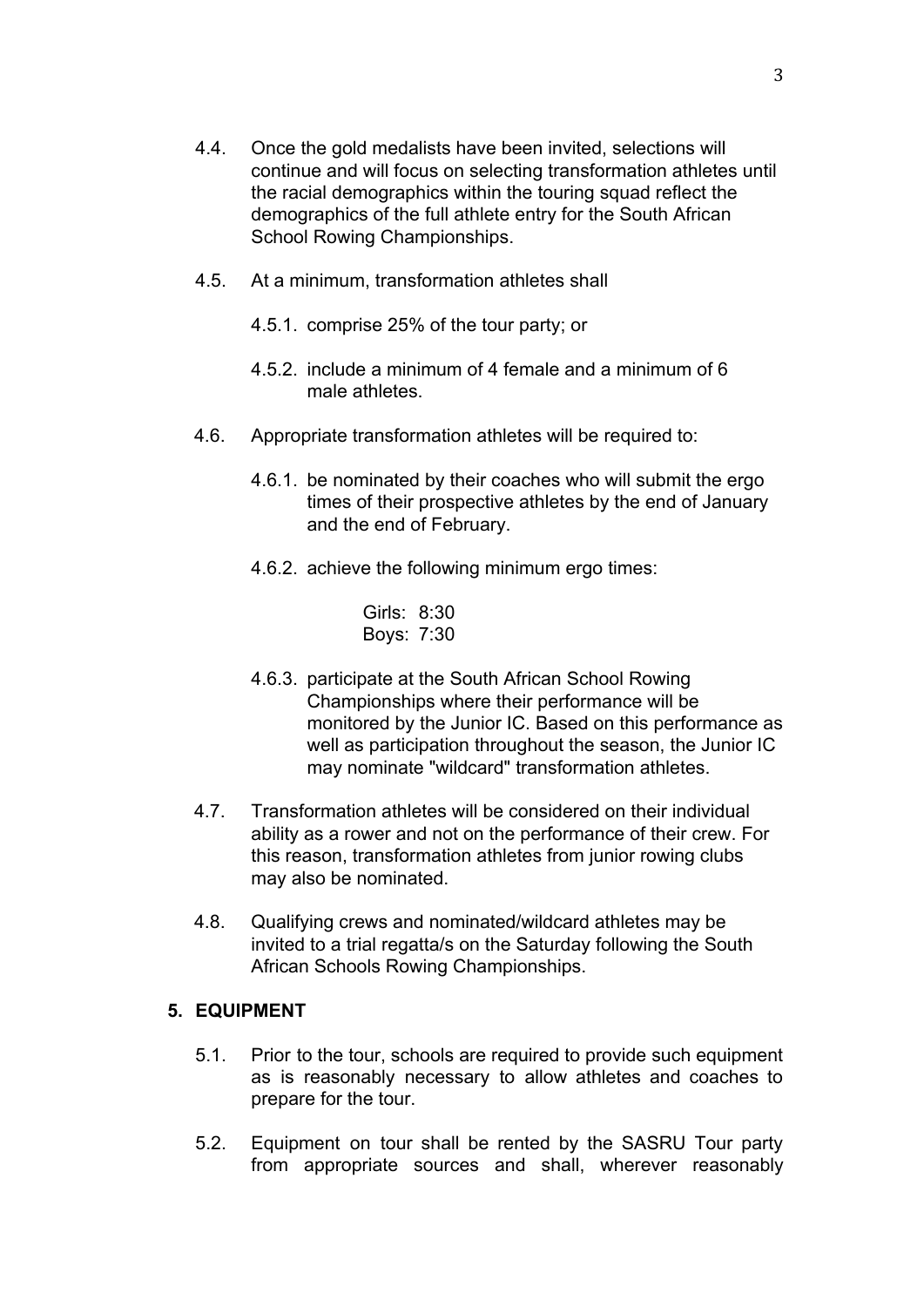- 4.4. Once the gold medalists have been invited, selections will continue and will focus on selecting transformation athletes until the racial demographics within the touring squad reflect the demographics of the full athlete entry for the South African School Rowing Championships.
- 4.5. At a minimum, transformation athletes shall
	- 4.5.1. comprise 25% of the tour party; or
	- 4.5.2. include a minimum of 4 female and a minimum of 6 male athletes
- 4.6. Appropriate transformation athletes will be required to:
	- 4.6.1. be nominated by their coaches who will submit the ergo times of their prospective athletes by the end of January and the end of February.
	- 4.6.2. achieve the following minimum ergo times:

Girls: 8:30 Boys: 7:30

- 4.6.3. participate at the South African School Rowing Championships where their performance will be monitored by the Junior IC. Based on this performance as well as participation throughout the season, the Junior IC may nominate "wildcard" transformation athletes.
- 4.7. Transformation athletes will be considered on their individual ability as a rower and not on the performance of their crew. For this reason, transformation athletes from junior rowing clubs may also be nominated.
- 4.8. Qualifying crews and nominated/wildcard athletes may be invited to a trial regatta/s on the Saturday following the South African Schools Rowing Championships.

### **5. EQUIPMENT**

- 5.1. Prior to the tour, schools are required to provide such equipment as is reasonably necessary to allow athletes and coaches to prepare for the tour.
- 5.2. Equipment on tour shall be rented by the SASRU Tour party from appropriate sources and shall, wherever reasonably